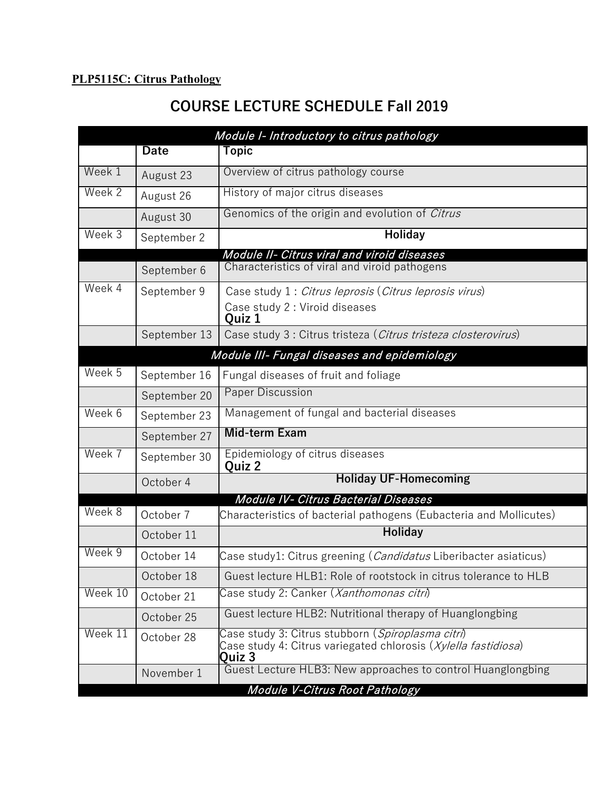## **PLP5115C: Citrus Pathology**

## **COURSE LECTURE SCHEDULE Fall 2019**

| Module I- Introductory to citrus pathology |                                              |                                                                                                                                        |  |  |  |
|--------------------------------------------|----------------------------------------------|----------------------------------------------------------------------------------------------------------------------------------------|--|--|--|
|                                            | <b>Date</b>                                  | Topic                                                                                                                                  |  |  |  |
| Week 1                                     | August 23                                    | Overview of citrus pathology course                                                                                                    |  |  |  |
| Week 2                                     | August 26                                    | History of major citrus diseases                                                                                                       |  |  |  |
|                                            | August 30                                    | Genomics of the origin and evolution of Citrus                                                                                         |  |  |  |
| Week 3                                     | September 2                                  | <b>Holiday</b>                                                                                                                         |  |  |  |
|                                            |                                              | Module II- Citrus viral and viroid diseases                                                                                            |  |  |  |
|                                            | September 6                                  | Characteristics of viral and viroid pathogens                                                                                          |  |  |  |
| Week 4                                     | September 9                                  | Case study 1 : Citrus leprosis (Citrus leprosis virus)                                                                                 |  |  |  |
|                                            |                                              | Case study 2 : Viroid diseases<br>Quiz 1                                                                                               |  |  |  |
|                                            | September 13                                 | Case study 3 : Citrus tristeza (Citrus tristeza closterovirus)                                                                         |  |  |  |
|                                            | Module III- Fungal diseases and epidemiology |                                                                                                                                        |  |  |  |
| Week 5                                     | September 16                                 | Fungal diseases of fruit and foliage                                                                                                   |  |  |  |
|                                            | September 20                                 | <b>Paper Discussion</b>                                                                                                                |  |  |  |
| Week 6                                     | September 23                                 | Management of fungal and bacterial diseases                                                                                            |  |  |  |
|                                            | September 27                                 | <b>Mid-term Exam</b>                                                                                                                   |  |  |  |
| Week 7                                     | September 30                                 | Epidemiology of citrus diseases<br>Quiz 2                                                                                              |  |  |  |
| October 4                                  |                                              | <b>Holiday UF-Homecoming</b>                                                                                                           |  |  |  |
| Module IV- Citrus Bacterial Diseases       |                                              |                                                                                                                                        |  |  |  |
| Week 8                                     | October 7                                    | Characteristics of bacterial pathogens (Eubacteria and Mollicutes)                                                                     |  |  |  |
|                                            | October 11                                   | <b>Holiday</b>                                                                                                                         |  |  |  |
| Week 9                                     | October 14                                   | Case study1: Citrus greening ( <i>Candidatus</i> Liberibacter asiaticus)                                                               |  |  |  |
|                                            | October 18                                   | Guest lecture HLB1: Role of rootstock in citrus tolerance to HLB                                                                       |  |  |  |
| Week 10                                    | October 21                                   | Case study 2: Canker ( <i>Xanthomonas citri</i> )                                                                                      |  |  |  |
|                                            | October 25                                   | Guest lecture HLB2: Nutritional therapy of Huanglongbing                                                                               |  |  |  |
| Week 11                                    | October 28                                   | Case study 3: Citrus stubborn ( <i>Spiroplasma citri</i> )<br>Case study 4: Citrus variegated chlorosis (Xylella fastidiosa)<br>Quiz 3 |  |  |  |
|                                            | November 1                                   | Guest Lecture HLB3: New approaches to control Huanglongbing                                                                            |  |  |  |
|                                            |                                              | Module V-Citrus Root Pathology                                                                                                         |  |  |  |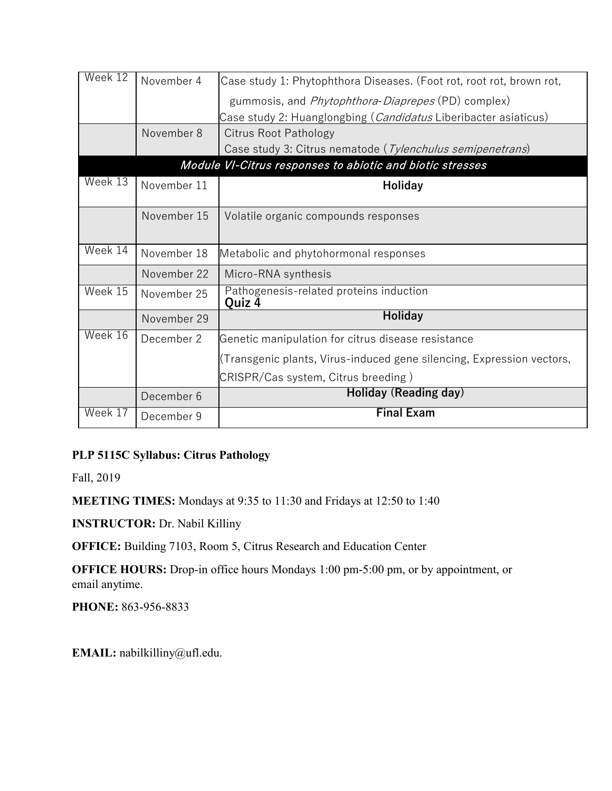| November 4                                                | Case study 1: Phytophthora Diseases. (Foot rot, root rot, brown rot,    |  |  |  |
|-----------------------------------------------------------|-------------------------------------------------------------------------|--|--|--|
|                                                           | gummosis, and <i>Phytophthora-Diaprepes</i> (PD) complex)               |  |  |  |
|                                                           | Case study 2: Huanglongbing ( <i>Candidatus</i> Liberibacter asiaticus) |  |  |  |
| November 8                                                | Citrus Root Pathology                                                   |  |  |  |
|                                                           | Case study 3: Citrus nematode (Tylenchulus semipenetrans)               |  |  |  |
| Module VI-Citrus responses to abiotic and biotic stresses |                                                                         |  |  |  |
| November 11                                               | Holiday                                                                 |  |  |  |
| November 15                                               | Volatile organic compounds responses                                    |  |  |  |
| November 18                                               | Metabolic and phytohormonal responses                                   |  |  |  |
| November 22                                               | Micro-RNA synthesis                                                     |  |  |  |
| November 25                                               | Pathogenesis-related proteins induction<br>Quiz 4                       |  |  |  |
| November 29                                               | <b>Holiday</b>                                                          |  |  |  |
| December 2                                                | Genetic manipulation for citrus disease resistance                      |  |  |  |
|                                                           | (Transgenic plants, Virus-induced gene silencing, Expression vectors,   |  |  |  |
|                                                           | CRISPR/Cas system, Citrus breeding)                                     |  |  |  |
| December 6                                                | Holiday (Reading day)                                                   |  |  |  |
| December 9                                                | <b>Final Exam</b>                                                       |  |  |  |
|                                                           |                                                                         |  |  |  |

## **PLP 5115C Syllabus: Citrus Pathology**

Fall, 2019

**MEETING TIMES:** Mondays at 9:35 to 11:30 and Fridays at 12:50 to 1:40

**INSTRUCTOR:** Dr. Nabil Killiny

**OFFICE:** Building 7103, Room 5, Citrus Research and Education Center

**OFFICE HOURS:** Drop-in office hours Mondays 1:00 pm-5:00 pm, or by appointment, or email anytime.

**PHONE:** 863-956-8833

**EMAIL:** nabilkilliny@ufl.edu.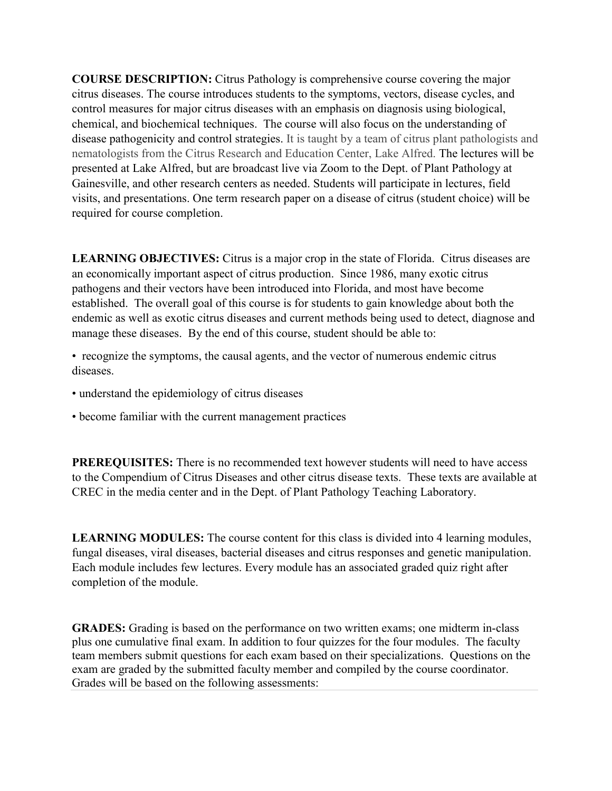**COURSE DESCRIPTION:** Citrus Pathology is comprehensive course covering the major citrus diseases. The course introduces students to the symptoms, vectors, disease cycles, and control measures for major citrus diseases with an emphasis on diagnosis using biological, chemical, and biochemical techniques. The course will also focus on the understanding of disease pathogenicity and control strategies. It is taught by a team of citrus plant pathologists and nematologists from the Citrus Research and Education Center, Lake Alfred. The lectures will be presented at Lake Alfred, but are broadcast live via Zoom to the Dept. of Plant Pathology at Gainesville, and other research centers as needed. Students will participate in lectures, field visits, and presentations. One term research paper on a disease of citrus (student choice) will be required for course completion.

**LEARNING OBJECTIVES:** Citrus is a major crop in the state of Florida. Citrus diseases are an economically important aspect of citrus production. Since 1986, many exotic citrus pathogens and their vectors have been introduced into Florida, and most have become established. The overall goal of this course is for students to gain knowledge about both the endemic as well as exotic citrus diseases and current methods being used to detect, diagnose and manage these diseases. By the end of this course, student should be able to:

• recognize the symptoms, the causal agents, and the vector of numerous endemic citrus diseases.

- understand the epidemiology of citrus diseases
- become familiar with the current management practices

**PREREQUISITES:** There is no recommended text however students will need to have access to the Compendium of Citrus Diseases and other citrus disease texts. These texts are available at CREC in the media center and in the Dept. of Plant Pathology Teaching Laboratory.

**LEARNING MODULES:** The course content for this class is divided into 4 learning modules, fungal diseases, viral diseases, bacterial diseases and citrus responses and genetic manipulation. Each module includes few lectures. Every module has an associated graded quiz right after completion of the module.

**GRADES:** Grading is based on the performance on two written exams; one midterm in-class plus one cumulative final exam. In addition to four quizzes for the four modules. The faculty team members submit questions for each exam based on their specializations. Questions on the exam are graded by the submitted faculty member and compiled by the course coordinator. Grades will be based on the following assessments: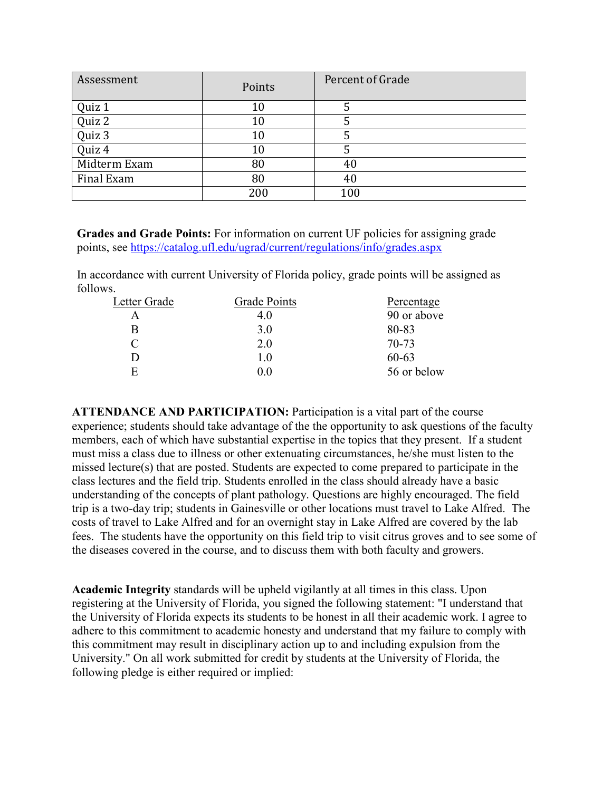| Assessment   | Points | Percent of Grade |
|--------------|--------|------------------|
| Quiz 1       | 10     |                  |
| Quiz 2       | 10     |                  |
| Quiz 3       | $10\,$ |                  |
| Quiz 4       | 10     |                  |
| Midterm Exam | 80     | 40               |
| Final Exam   | 80     | 40               |
|              | 200    | 100              |

**Grades and Grade Points:** For information on current UF policies for assigning grade points, see<https://catalog.ufl.edu/ugrad/current/regulations/info/grades.aspx>

In accordance with current University of Florida policy, grade points will be assigned as follows.

| Letter Grade | Grade Points | Percentage  |
|--------------|--------------|-------------|
| А            | 4.0          | 90 or above |
| B            | 3.0          | 80-83       |
| $\subset$    | 2.0          | $70 - 73$   |
| Ð            | 1.0          | $60 - 63$   |
| E            | 0.0          | 56 or below |

**ATTENDANCE AND PARTICIPATION:** Participation is a vital part of the course experience; students should take advantage of the the opportunity to ask questions of the faculty members, each of which have substantial expertise in the topics that they present. If a student must miss a class due to illness or other extenuating circumstances, he/she must listen to the missed lecture(s) that are posted. Students are expected to come prepared to participate in the class lectures and the field trip. Students enrolled in the class should already have a basic understanding of the concepts of plant pathology. Questions are highly encouraged. The field trip is a two-day trip; students in Gainesville or other locations must travel to Lake Alfred. The costs of travel to Lake Alfred and for an overnight stay in Lake Alfred are covered by the lab fees. The students have the opportunity on this field trip to visit citrus groves and to see some of the diseases covered in the course, and to discuss them with both faculty and growers.

**Academic Integrity** standards will be upheld vigilantly at all times in this class. Upon registering at the University of Florida, you signed the following statement: "I understand that the University of Florida expects its students to be honest in all their academic work. I agree to adhere to this commitment to academic honesty and understand that my failure to comply with this commitment may result in disciplinary action up to and including expulsion from the University." On all work submitted for credit by students at the University of Florida, the following pledge is either required or implied: